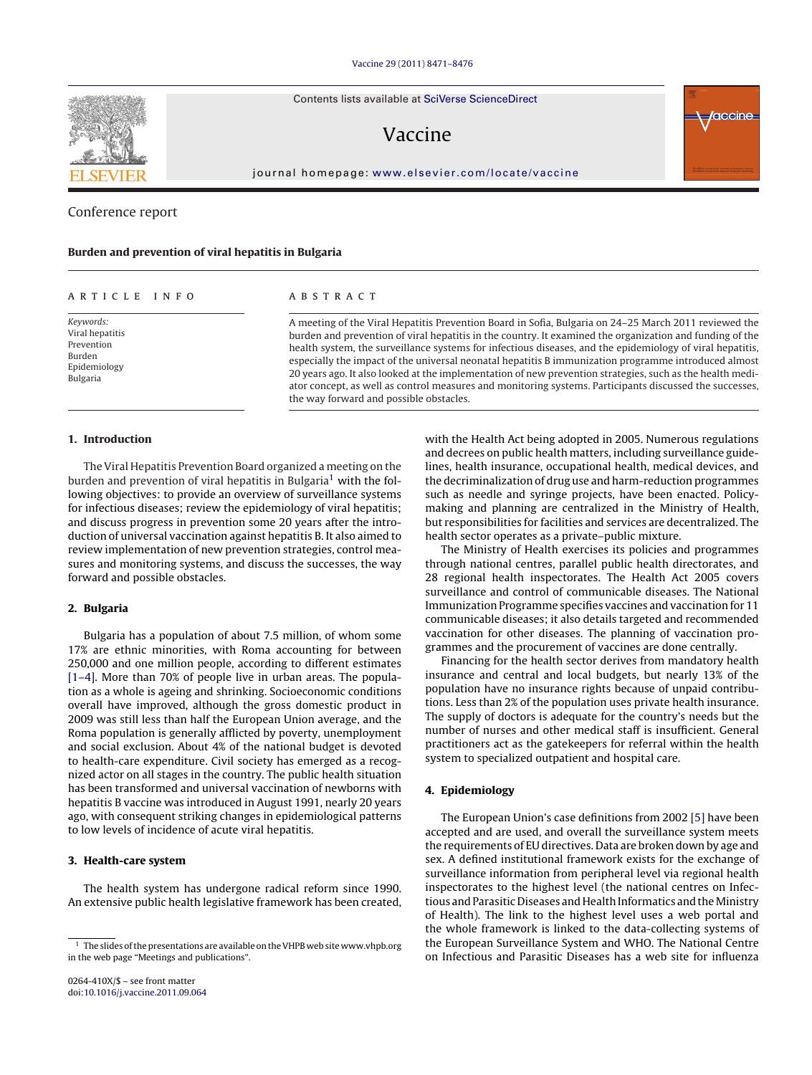Contents lists available at SciVerse [ScienceDirect](http://www.sciencedirect.com/science/journal/0264410X)

# Vaccine

jour nal homepage: [www.elsevier.com/locate/vaccine](http://www.elsevier.com/locate/vaccine)

## Conference report

#### **Burden and prevention of viral hepatitis in Bulgaria**

#### a r t i c l e i n f o

Keywords: Viral hepatitis Prevention Burden Epidemiology Bulgaria

## A B S T R A C T

A meeting of the Viral Hepatitis Prevention Board in Sofia, Bulgaria on 24–25 March 2011 reviewed the burden and prevention of viral hepatitis in the country. It examined the organization and funding of the health system, the surveillance systems for infectious diseases, and the epidemiology of viral hepatitis, especially the impact of the universal neonatal hepatitis B immunization programme introduced almost 20 years ago. It also looked at the implementation of new prevention strategies, such as the health mediator concept, as well as control measures and monitoring systems. Participants discussed the successes, the way forward and possible obstacles.

## **1. Introduction**

The Viral Hepatitis Prevention Board organized a meeting on the burden and prevention of viral hepatitis in Bulgaria<sup>1</sup> with the following objectives: to provide an overview of surveillance systems for infectious diseases; review the epidemiology of viral hepatitis; and discuss progress in prevention some 20 years after the introduction of universal vaccination against hepatitis B. It also aimed to review implementation of new prevention strategies, control measures and monitoring systems, and discuss the successes, the way forward and possible obstacles.

## **2. Bulgaria**

Bulgaria has a population of about 7.5 million, of whom some 17% are ethnic minorities, with Roma accounting for between 250,000 and one million people, according to different estimates [\[1–4\].](#page-4-0) More than 70% of people live in urban areas. The population as a whole is ageing and shrinking. Socioeconomic conditions overall have improved, although the gross domestic product in 2009 was still less than half the European Union average, and the Roma population is generally afflicted by poverty, unemployment and social exclusion. About 4% of the national budget is devoted to health-care expenditure. Civil society has emerged as a recognized actor on all stages in the country. The public health situation has been transformed and universal vaccination of newborns with hepatitis B vaccine was introduced in August 1991, nearly 20 years ago, with consequent striking changes in epidemiological patterns to low levels of incidence of acute viral hepatitis.

## **3. Health-care system**

The health system has undergone radical reform since 1990. An extensive public health legislative framework has been created, with the Health Act being adopted in 2005. Numerous regulations and decrees on public health matters, including surveillance guidelines, health insurance, occupational health, medical devices, and the decriminalization of drug use and harm-reduction programmes such as needle and syringe projects, have been enacted. Policymaking and planning are centralized in the Ministry of Health, but responsibilities for facilities and services are decentralized. The health sector operates as a private–public mixture.

The Ministry of Health exercises its policies and programmes through national centres, parallel public health directorates, and 28 regional health inspectorates. The Health Act 2005 covers surveillance and control of communicable diseases. The National Immunization Programme specifies vaccines and vaccination for 11 communicable diseases; it also details targeted and recommended vaccination for other diseases. The planning of vaccination programmes and the procurement of vaccines are done centrally.

Financing for the health sector derives from mandatory health insurance and central and local budgets, but nearly 13% of the population have no insurance rights because of unpaid contributions. Less than 2% of the population uses private health insurance. The supply of doctors is adequate for the country's needs but the number of nurses and other medical staff is insufficient. General practitioners act as the gatekeepers for referral within the health system to specialized outpatient and hospital care.

## **4. Epidemiology**

The European Union's case definitions from 2002 [\[5\]](#page-4-0) have been accepted and are used, and overall the surveillance system meets the requirements of EU directives. Data are broken down by age and sex. A defined institutional framework exists for the exchange of surveillance information from peripheral level via regional health inspectorates to the highest level (the national centres on Infectious and Parasitic Diseases and Health Informatics and the Ministry of Health). The link to the highest level uses a web portal and the whole framework is linked to the data-collecting systems of the European Surveillance System and WHO. The National Centre on Infectious and Parasitic Diseases has a web site for influenza





 $1$  The slides of the presentations are available on the VHPB web site www.vhpb.org in the web page "Meetings and publications".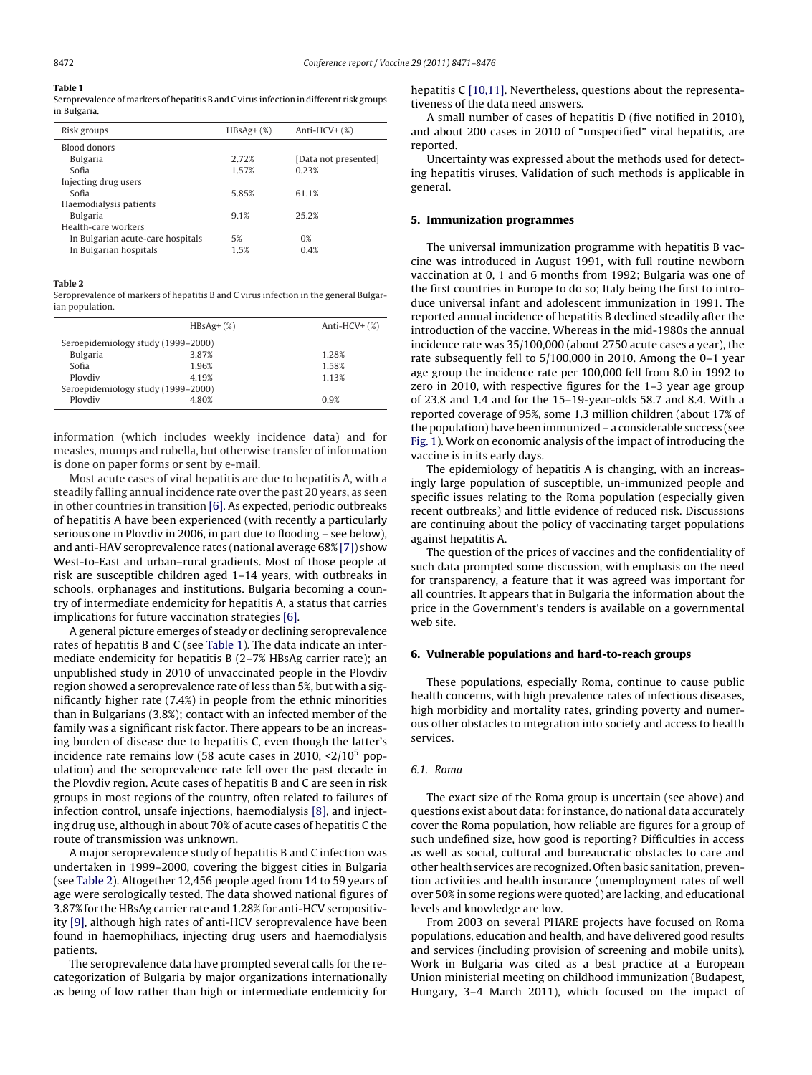## <span id="page-1-0"></span>**Table 1**

Seroprevalence of markers of hepatitis B and C virus infection in different risk groups in Bulgaria.

| Risk groups                       | $HBsAg+(%)$ | Anti-HCV+ $(\%)$     |
|-----------------------------------|-------------|----------------------|
| Blood donors                      |             |                      |
| <b>Bulgaria</b>                   | 2.72%       | [Data not presented] |
| Sofia                             | 1.57%       | 0.23%                |
| Injecting drug users              |             |                      |
| Sofia                             | 5.85%       | 61.1%                |
| Haemodialysis patients            |             |                      |
| <b>Bulgaria</b>                   | 91%         | 252%                 |
| Health-care workers               |             |                      |
| In Bulgarian acute-care hospitals | 5%          | $0\%$                |
| In Bulgarian hospitals            | 1.5%        | 0.4%                 |

#### **Table 2**

Seroprevalence of markers of hepatitis B and C virus infection in the general Bulgarian population.

|                                    | $HBSAg+(%)$ | Anti-HCV+ $(\%)$ |
|------------------------------------|-------------|------------------|
| Seroepidemiology study (1999–2000) |             |                  |
| <b>Bulgaria</b>                    | 3.87%       | 1.28%            |
| Sofia                              | 1.96%       | 1.58%            |
| Ploydiv                            | 4.19%       | 1.13%            |
| Seroepidemiology study (1999–2000) |             |                  |
| Ploydiv                            | 4.80%       | 0.9%             |
|                                    |             |                  |

information (which includes weekly incidence data) and for measles, mumps and rubella, but otherwise transfer of information is done on paper forms or sent by e-mail.

Most acute cases of viral hepatitis are due to hepatitis A, with a steadily falling annual incidence rate over the past 20 years, as seen in other countries in transition [\[6\].](#page-4-0) As expected, periodic outbreaks of hepatitis A have been experienced (with recently a particularly serious one in Plovdiv in 2006, in part due to flooding – see below), and anti-HAV seroprevalence rates (national average 68% [\[7\]\)](#page-4-0) show West-to-East and urban–rural gradients. Most of those people at risk are susceptible children aged 1–14 years, with outbreaks in schools, orphanages and institutions. Bulgaria becoming a country of intermediate endemicity for hepatitis A, a status that carries implications for future vaccination strategies [\[6\].](#page-4-0)

A general picture emerges of steady or declining seroprevalence rates of hepatitis B and C (see Table 1). The data indicate an intermediate endemicity for hepatitis B (2–7% HBsAg carrier rate); an unpublished study in 2010 of unvaccinated people in the Plovdiv region showed a seroprevalence rate of less than 5%, but with a significantly higher rate (7.4%) in people from the ethnic minorities than in Bulgarians (3.8%); contact with an infected member of the family was a significant risk factor. There appears to be an increasing burden of disease due to hepatitis C, even though the latter's incidence rate remains low (58 acute cases in 2010,  $\langle 2/10^5$  population) and the seroprevalence rate fell over the past decade in the Plovdiv region. Acute cases of hepatitis B and C are seen in risk groups in most regions of the country, often related to failures of infection control, unsafe injections, haemodialysis [\[8\],](#page-4-0) and injecting drug use, although in about 70% of acute cases of hepatitis C the route of transmission was unknown.

A major seroprevalence study of hepatitis B and C infection was undertaken in 1999–2000, covering the biggest cities in Bulgaria (see Table 2). Altogether 12,456 people aged from 14 to 59 years of age were serologically tested. The data showed national figures of 3.87% for the HBsAg carrier rate and 1.28% for anti-HCV seropositivity [\[9\],](#page-4-0) although high rates of anti-HCV seroprevalence have been found in haemophiliacs, injecting drug users and haemodialysis patients.

The seroprevalence data have prompted several calls for the recategorization of Bulgaria by major organizations internationally as being of low rather than high or intermediate endemicity for hepatitis C [\[10,11\].](#page-4-0) Nevertheless, questions about the representativeness of the data need answers.

A small number of cases of hepatitis D (five notified in 2010), and about 200 cases in 2010 of "unspecified" viral hepatitis, are reported.

Uncertainty was expressed about the methods used for detecting hepatitis viruses. Validation of such methods is applicable in general.

#### **5. Immunization programmes**

The universal immunization programme with hepatitis B vaccine was introduced in August 1991, with full routine newborn vaccination at 0, 1 and 6 months from 1992; Bulgaria was one of the first countries in Europe to do so; Italy being the first to introduce universal infant and adolescent immunization in 1991. The reported annual incidence of hepatitis B declined steadily after the introduction of the vaccine. Whereas in the mid-1980s the annual incidence rate was 35/100,000 (about 2750 acute cases a year), the rate subsequently fell to 5/100,000 in 2010. Among the 0–1 year age group the incidence rate per 100,000 fell from 8.0 in 1992 to zero in 2010, with respective figures for the 1–3 year age group of 23.8 and 1.4 and for the 15–19-year-olds 58.7 and 8.4. With a reported coverage of 95%, some 1.3 million children (about 17% of the population) have been immunized – a considerable success (see [Fig.](#page-2-0) 1). Work on economic analysis of the impact of introducing the vaccine is in its early days.

The epidemiology of hepatitis A is changing, with an increasingly large population of susceptible, un-immunized people and specific issues relating to the Roma population (especially given recent outbreaks) and little evidence of reduced risk. Discussions are continuing about the policy of vaccinating target populations against hepatitis A.

The question of the prices of vaccines and the confidentiality of such data prompted some discussion, with emphasis on the need for transparency, a feature that it was agreed was important for all countries. It appears that in Bulgaria the information about the price in the Government's tenders is available on a governmental web site.

## **6. Vulnerable populations and hard-to-reach groups**

These populations, especially Roma, continue to cause public health concerns, with high prevalence rates of infectious diseases, high morbidity and mortality rates, grinding poverty and numerous other obstacles to integration into society and access to health services.

#### 6.1. Roma

The exact size of the Roma group is uncertain (see above) and questions exist about data: for instance, do national data accurately cover the Roma population, how reliable are figures for a group of such undefined size, how good is reporting? Difficulties in access as well as social, cultural and bureaucratic obstacles to care and other health services are recognized. Often basic sanitation, prevention activities and health insurance (unemployment rates of well over 50% in some regions were quoted) are lacking, and educational levels and knowledge are low.

From 2003 on several PHARE projects have focused on Roma populations, education and health, and have delivered good results and services (including provision of screening and mobile units). Work in Bulgaria was cited as a best practice at a European Union ministerial meeting on childhood immunization (Budapest, Hungary, 3–4 March 2011), which focused on the impact of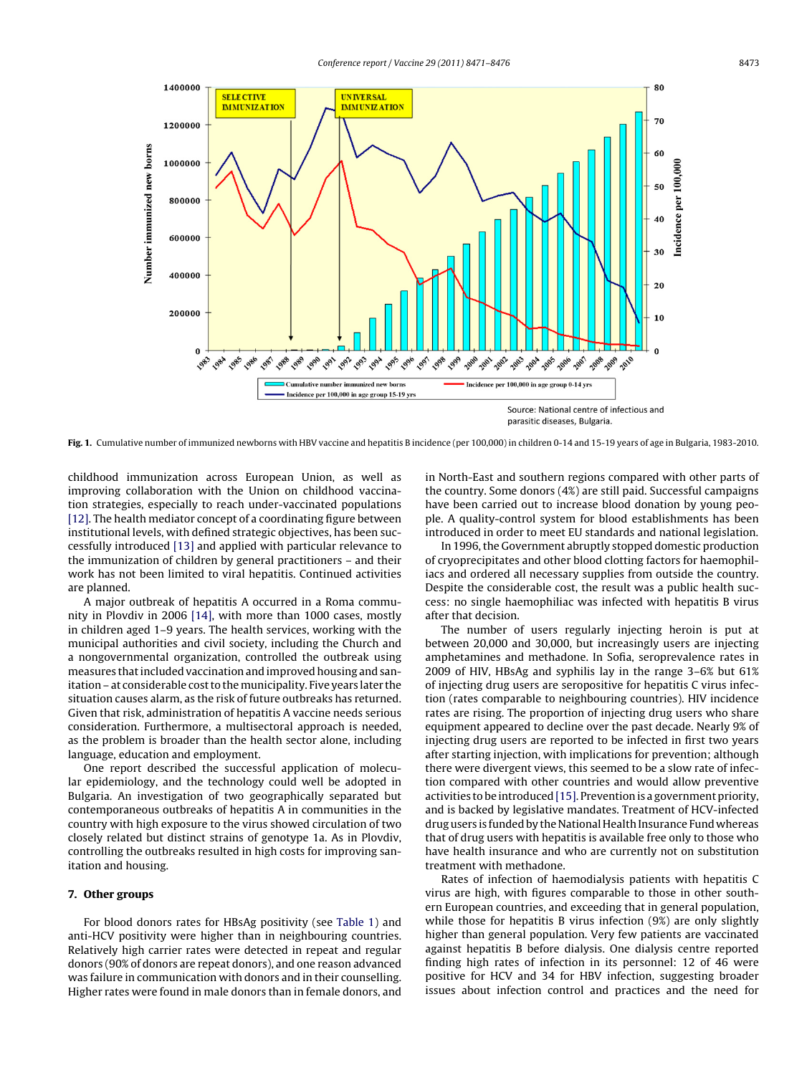<span id="page-2-0"></span>

**Fig. 1.** Cumulative number of immunized newborns with HBV vaccine and hepatitis B incidence (per 100,000) in children 0-14 and 15-19 years of age in Bulgaria, 1983-2010.

childhood immunization across European Union, as well as improving collaboration with the Union on childhood vaccination strategies, especially to reach under-vaccinated populations [\[12\].](#page-4-0) The health mediator concept of a coordinating figure between institutional levels, with defined strategic objectives, has been successfully introduced [\[13\]](#page-4-0) and applied with particular relevance to the immunization of children by general practitioners – and their work has not been limited to viral hepatitis. Continued activities are planned.

A major outbreak of hepatitis A occurred in a Roma community in Plovdiv in 2006 [\[14\],](#page-4-0) with more than 1000 cases, mostly in children aged 1–9 years. The health services, working with the municipal authorities and civil society, including the Church and a nongovernmental organization, controlled the outbreak using measures that included vaccination and improved housing and sanitation – at considerable cost to the municipality. Five years later the situation causes alarm, as the risk of future outbreaks has returned. Given that risk, administration of hepatitis A vaccine needs serious consideration. Furthermore, a multisectoral approach is needed, as the problem is broader than the health sector alone, including language, education and employment.

One report described the successful application of molecular epidemiology, and the technology could well be adopted in Bulgaria. An investigation of two geographically separated but contemporaneous outbreaks of hepatitis A in communities in the country with high exposure to the virus showed circulation of two closely related but distinct strains of genotype 1a. As in Plovdiv, controlling the outbreaks resulted in high costs for improving sanitation and housing.

#### **7. Other groups**

For blood donors rates for HBsAg positivity (see [Table](#page-1-0) 1) and anti-HCV positivity were higher than in neighbouring countries. Relatively high carrier rates were detected in repeat and regular donors (90% of donors are repeat donors), and one reason advanced was failure in communication with donors and in their counselling. Higher rates were found in male donors than in female donors, and in North-East and southern regions compared with other parts of the country. Some donors (4%) are still paid. Successful campaigns have been carried out to increase blood donation by young people. A quality-control system for blood establishments has been introduced in order to meet EU standards and national legislation.

In 1996, the Government abruptly stopped domestic production of cryoprecipitates and other blood clotting factors for haemophiliacs and ordered all necessary supplies from outside the country. Despite the considerable cost, the result was a public health success: no single haemophiliac was infected with hepatitis B virus after that decision.

The number of users regularly injecting heroin is put at between 20,000 and 30,000, but increasingly users are injecting amphetamines and methadone. In Sofia, seroprevalence rates in 2009 of HIV, HBsAg and syphilis lay in the range 3–6% but 61% of injecting drug users are seropositive for hepatitis C virus infection (rates comparable to neighbouring countries). HIV incidence rates are rising. The proportion of injecting drug users who share equipment appeared to decline over the past decade. Nearly 9% of injecting drug users are reported to be infected in first two years after starting injection, with implications for prevention; although there were divergent views, this seemed to be a slow rate of infection compared with other countries and would allow preventive activities to be introduced [\[15\].](#page-4-0) Prevention is a government priority, and is backed by legislative mandates. Treatment of HCV-infected drug users is funded by the National Health Insurance Fund whereas that of drug users with hepatitis is available free only to those who have health insurance and who are currently not on substitution treatment with methadone.

Rates of infection of haemodialysis patients with hepatitis C virus are high, with figures comparable to those in other southern European countries, and exceeding that in general population, while those for hepatitis B virus infection (9%) are only slightly higher than general population. Very few patients are vaccinated against hepatitis B before dialysis. One dialysis centre reported finding high rates of infection in its personnel: 12 of 46 were positive for HCV and 34 for HBV infection, suggesting broader issues about infection control and practices and the need for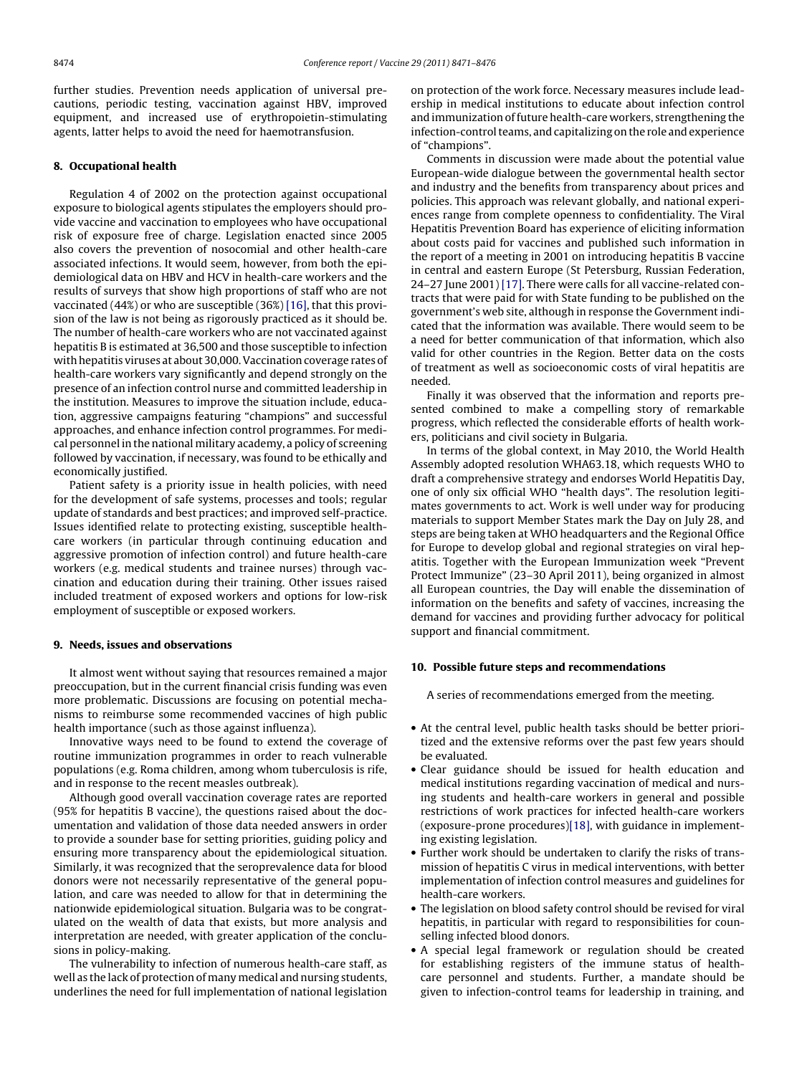further studies. Prevention needs application of universal precautions, periodic testing, vaccination against HBV, improved equipment, and increased use of erythropoietin-stimulating agents, latter helps to avoid the need for haemotransfusion.

## **8. Occupational health**

Regulation 4 of 2002 on the protection against occupational exposure to biological agents stipulates the employers should provide vaccine and vaccination to employees who have occupational risk of exposure free of charge. Legislation enacted since 2005 also covers the prevention of nosocomial and other health-care associated infections. It would seem, however, from both the epidemiological data on HBV and HCV in health-care workers and the results of surveys that show high proportions of staff who are not vaccinated (44%) or who are susceptible (36%) [\[16\],](#page-4-0) that this provision of the law is not being as rigorously practiced as it should be. The number of health-care workers who are not vaccinated against hepatitis B is estimated at 36,500 and those susceptible to infection with hepatitis viruses at about 30,000. Vaccination coverage rates of health-care workers vary significantly and depend strongly on the presence of an infection control nurse and committed leadership in the institution. Measures to improve the situation include, education, aggressive campaigns featuring "champions" and successful approaches, and enhance infection control programmes. For medical personnel in the national military academy, a policy of screening followed by vaccination, if necessary, was found to be ethically and economically justified.

Patient safety is a priority issue in health policies, with need for the development of safe systems, processes and tools; regular update of standards and best practices; and improved self-practice. Issues identified relate to protecting existing, susceptible healthcare workers (in particular through continuing education and aggressive promotion of infection control) and future health-care workers (e.g. medical students and trainee nurses) through vaccination and education during their training. Other issues raised included treatment of exposed workers and options for low-risk employment of susceptible or exposed workers.

### **9. Needs, issues and observations**

It almost went without saying that resources remained a major preoccupation, but in the current financial crisis funding was even more problematic. Discussions are focusing on potential mechanisms to reimburse some recommended vaccines of high public health importance (such as those against influenza).

Innovative ways need to be found to extend the coverage of routine immunization programmes in order to reach vulnerable populations (e.g. Roma children, among whom tuberculosis is rife, and in response to the recent measles outbreak).

Although good overall vaccination coverage rates are reported (95% for hepatitis B vaccine), the questions raised about the documentation and validation of those data needed answers in order to provide a sounder base for setting priorities, guiding policy and ensuring more transparency about the epidemiological situation. Similarly, it was recognized that the seroprevalence data for blood donors were not necessarily representative of the general population, and care was needed to allow for that in determining the nationwide epidemiological situation. Bulgaria was to be congratulated on the wealth of data that exists, but more analysis and interpretation are needed, with greater application of the conclusions in policy-making.

The vulnerability to infection of numerous health-care staff, as well as the lack of protection of many medical and nursing students, underlines the need for full implementation of national legislation on protection of the work force. Necessary measures include leadership in medical institutions to educate about infection control and immunization offuture health-care workers, strengthening the infection-control teams, and capitalizing on the role and experience of "champions".

Comments in discussion were made about the potential value European-wide dialogue between the governmental health sector and industry and the benefits from transparency about prices and policies. This approach was relevant globally, and national experiences range from complete openness to confidentiality. The Viral Hepatitis Prevention Board has experience of eliciting information about costs paid for vaccines and published such information in the report of a meeting in 2001 on introducing hepatitis B vaccine in central and eastern Europe (St Petersburg, Russian Federation, 24–27 June 2001) [\[17\].](#page-4-0) There were calls for all vaccine-related contracts that were paid for with State funding to be published on the government's web site, although in response the Government indicated that the information was available. There would seem to be a need for better communication of that information, which also valid for other countries in the Region. Better data on the costs of treatment as well as socioeconomic costs of viral hepatitis are needed.

Finally it was observed that the information and reports presented combined to make a compelling story of remarkable progress, which reflected the considerable efforts of health workers, politicians and civil society in Bulgaria.

In terms of the global context, in May 2010, the World Health Assembly adopted resolution WHA63.18, which requests WHO to draft a comprehensive strategy and endorses World Hepatitis Day, one of only six official WHO "health days". The resolution legitimates governments to act. Work is well under way for producing materials to support Member States mark the Day on July 28, and steps are being taken at WHO headquarters and the Regional Office for Europe to develop global and regional strategies on viral hepatitis. Together with the European Immunization week "Prevent Protect Immunize" (23–30 April 2011), being organized in almost all European countries, the Day will enable the dissemination of information on the benefits and safety of vaccines, increasing the demand for vaccines and providing further advocacy for political support and financial commitment.

#### **10. Possible future steps and recommendations**

A series of recommendations emerged from the meeting.

- At the central level, public health tasks should be better prioritized and the extensive reforms over the past few years should be evaluated.
- Clear guidance should be issued for health education and medical institutions regarding vaccination of medical and nursing students and health-care workers in general and possible restrictions of work practices for infected health-care workers (exposure-prone procedures)[\[18\],](#page-4-0) with guidance in implementing existing legislation.
- Further work should be undertaken to clarify the risks of transmission of hepatitis C virus in medical interventions, with better implementation of infection control measures and guidelines for health-care workers.
- The legislation on blood safety control should be revised for viral hepatitis, in particular with regard to responsibilities for counselling infected blood donors.
- A special legal framework or regulation should be created for establishing registers of the immune status of healthcare personnel and students. Further, a mandate should be given to infection-control teams for leadership in training, and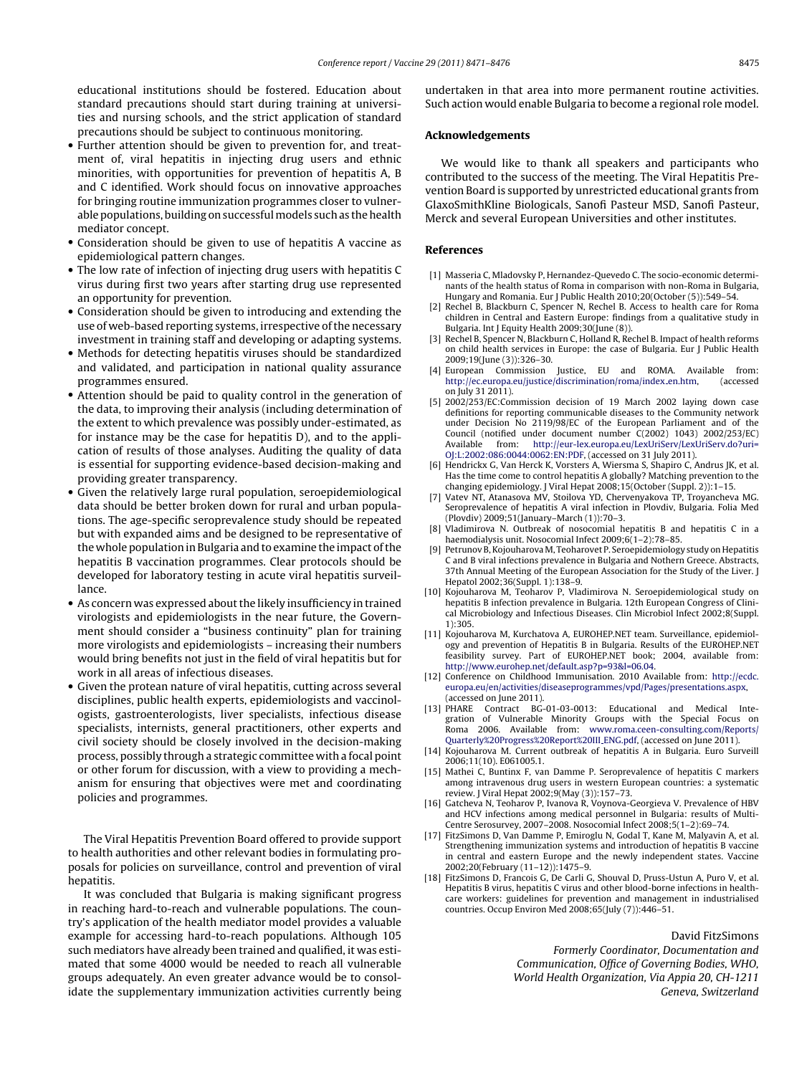<span id="page-4-0"></span>educational institutions should be fostered. Education about standard precautions should start during training at universities and nursing schools, and the strict application of standard precautions should be subject to continuous monitoring.

- Further attention should be given to prevention for, and treatment of, viral hepatitis in injecting drug users and ethnic minorities, with opportunities for prevention of hepatitis A, B and C identified. Work should focus on innovative approaches for bringing routine immunization programmes closer to vulnerable populations, building on successful models such as the health mediator concept.
- Consideration should be given to use of hepatitis A vaccine as epidemiological pattern changes.
- The low rate of infection of injecting drug users with hepatitis C virus during first two years after starting drug use represented an opportunity for prevention.
- Consideration should be given to introducing and extending the use of web-based reporting systems, irrespective of the necessary investment in training staff and developing or adapting systems.
- Methods for detecting hepatitis viruses should be standardized and validated, and participation in national quality assurance programmes ensured.
- Attention should be paid to quality control in the generation of the data, to improving their analysis (including determination of the extent to which prevalence was possibly under-estimated, as for instance may be the case for hepatitis D), and to the application of results of those analyses. Auditing the quality of data is essential for supporting evidence-based decision-making and providing greater transparency.
- Given the relatively large rural population, seroepidemiological data should be better broken down for rural and urban populations. The age-specific seroprevalence study should be repeated but with expanded aims and be designed to be representative of the whole population in Bulgaria and to examine the impact of the hepatitis B vaccination programmes. Clear protocols should be developed for laboratory testing in acute viral hepatitis surveillance.
- As concern was expressed about the likely insufficiency in trained virologists and epidemiologists in the near future, the Government should consider a "business continuity" plan for training more virologists and epidemiologists – increasing their numbers would bring benefits not just in the field of viral hepatitis but for work in all areas of infectious diseases.
- Given the protean nature of viral hepatitis, cutting across several disciplines, public health experts, epidemiologists and vaccinologists, gastroenterologists, liver specialists, infectious disease specialists, internists, general practitioners, other experts and civil society should be closely involved in the decision-making process, possibly through a strategic committee with a focal point or other forum for discussion, with a view to providing a mechanism for ensuring that objectives were met and coordinating policies and programmes.

The Viral Hepatitis Prevention Board offered to provide support to health authorities and other relevant bodies in formulating proposals for policies on surveillance, control and prevention of viral hepatitis.

It was concluded that Bulgaria is making significant progress in reaching hard-to-reach and vulnerable populations. The country's application of the health mediator model provides a valuable example for accessing hard-to-reach populations. Although 105 such mediators have already been trained and qualified, it was estimated that some 4000 would be needed to reach all vulnerable groups adequately. An even greater advance would be to consolidate the supplementary immunization activities currently being undertaken in that area into more permanent routine activities. Such action would enable Bulgaria to become a regional role model.

#### **Acknowledgements**

We would like to thank all speakers and participants who contributed to the success of the meeting. The Viral Hepatitis Prevention Board is supported by unrestricted educational grants from GlaxoSmithKline Biologicals, Sanofi Pasteur MSD, Sanofi Pasteur, Merck and several European Universities and other institutes.

#### **References**

- [1] Masseria C, Mladovsky P, Hernandez-Quevedo C. The socio-economic determinants of the health status of Roma in comparison with non-Roma in Bulgaria, Hungary and Romania. Eur J Public Health 2010;20(October (5)):549–54.
- [2] Rechel B, Blackburn C, Spencer N, Rechel B. Access to health care for Roma children in Central and Eastern Europe: findings from a qualitative study in Bulgaria. Int J Equity Health 2009;30(June (8)).
- [3] Rechel B, Spencer N, Blackburn C, Holland R, Rechel B. Impact of health reforms on child health services in Europe: the case of Bulgaria. Eur J Public Health 2009;19(June (3)):326–30.
- [4] European Commission Justice, EU and ROMA. Available from: [http://ec.europa.eu/justice/discrimination/roma/index](http://ec.europa.eu/justice/discrimination/roma/index_en.htm) en.htm, (accessed on July 31 2011).
- [5] 2002/253/EC:Commission decision of 19 March 2002 laying down case definitions for reporting communicable diseases to the Community network under Decision No 2119/98/EC of the European Parliament and of the Council (notified under document number C(2002) 1043) 2002/253/EC) Available from: [http://eur-lex.europa.eu/LexUriServ/LexUriServ.do?uri=](http://eur-lex.europa.eu/LexUriServ/LexUriServ.do%3Furi=OJ%3AL%3A2002%3A086%3A0044%3A0062%3AEN%3APDF) [OJ:L:2002:086:0044:0062:EN:PDF,](http://eur-lex.europa.eu/LexUriServ/LexUriServ.do%3Furi=OJ%3AL%3A2002%3A086%3A0044%3A0062%3AEN%3APDF) (accessed on 31 July 2011).
- [6] Hendrickx G, Van Herck K, Vorsters A, Wiersma S, Shapiro C, Andrus JK, et al. Has the time come to control hepatitis A globally? Matching prevention to the changing epidemiology. J Viral Hepat 2008;15(October (Suppl. 2)):1–15.
- [7] Vatev NT, Atanasova MV, Stoilova YD, Chervenyakova TP, Troyancheva MG. Seroprevalence of hepatitis A viral infection in Plovdiv, Bulgaria. Folia Med (Plovdiv) 2009;51(January–March (1)):70–3.
- [8] Vladimirova N. Outbreak of nosocomial hepatitis B and hepatitis C in a haemodialysis unit. Nosocomial Infect 2009;6(1-2):78-85.
- [9] Petrunov B,KojouharovaM, Teoharovet P. Seroepidemiology study on Hepatitis C and B viral infections prevalence in Bulgaria and Nothern Greece. Abstracts, 37th Annual Meeting of the European Association for the Study of the Liver. J Hepatol 2002;36(Suppl. 1):138–9.
- [10] Kojouharova M, Teoharov P, Vladimirova N. Seroepidemiological study on hepatitis B infection prevalence in Bulgaria. 12th European Congress of Clinical Microbiology and Infectious Diseases. Clin Microbiol Infect 2002;8(Suppl. 1):305.
- [11] Kojouharova M, Kurchatova A, EUROHEP.NET team. Surveillance, epidemiology and prevention of Hepatitis B in Bulgaria. Results of the EUROHEP.NET feasibility survey. Part of EUROHEP.NET book; 2004, available from: [http://www.eurohep.net/default.asp?p=93&l=06.04.](http://www.eurohep.net/default.asp%3Fp=93%26l=06.04)
- [12] Conference on Childhood Immunisation. 2010 Available from: [http://ecdc.](http://ecdc.europa.eu/en/activities/diseaseprogrammes/vpd/Pages/presentations.aspx) [europa.eu/en/activities/diseaseprogrammes/vpd/Pages/presentations.aspx](http://ecdc.europa.eu/en/activities/diseaseprogrammes/vpd/Pages/presentations.aspx), (accessed on June 2011).
- [13] PHARE Contract BG-01-03-0013: Educational and Medical Integration of Vulnerable Minority Groups with the Special Focus on Roma 2006. Available from: [www.roma.ceen-consulting.com/Reports/](http://www.roma.ceen-consulting.com/Reports/Quarterly%2520Progress%2520Report%2520III_ENG.pdf) [Quarterly%20Progress%20Report%20III](http://www.roma.ceen-consulting.com/Reports/Quarterly%2520Progress%2520Report%2520III_ENG.pdf) ENG.pdf, (accessed on June 2011).
- [14] Kojouharova M. Current outbreak of hepatitis A in Bulgaria. Euro Surveill 2006;11(10). E061005.1.
- [15] Mathei C, Buntinx F, van Damme P. Seroprevalence of hepatitis C markers among intravenous drug users in western European countries: a systematic review. J Viral Hepat 2002;9(May (3)):157–73.
- [16] Gatcheva N, Teoharov P, Ivanova R, Voynova-Georgieva V. Prevalence of HBV and HCV infections among medical personnel in Bulgaria: results of Multi-Centre Serosurvey, 2007–2008. Nosocomial Infect 2008;5(1–2):69–74.
- [17] FitzSimons D, Van Damme P, Emiroglu N, Godal T, Kane M, Malyavin A, et al. Strengthening immunization systems and introduction of hepatitis B vaccine in central and eastern Europe and the newly independent states. Vaccine 2002;20(February (11–12)):1475–9.
- [18] FitzSimons D, Francois G, De Carli G, Shouval D, Pruss-Ustun A, Puro V, et al. Hepatitis B virus, hepatitis C virus and other blood-borne infections in healthcare workers: guidelines for prevention and management in industrialised countries. Occup Environ Med 2008;65(July (7)):446–51.

David FitzSimons Formerly Coordinator, Documentation and Communication, Office of Governing Bodies, WHO, World Health Organization, Via Appia 20, CH-1211

Geneva, Switzerland